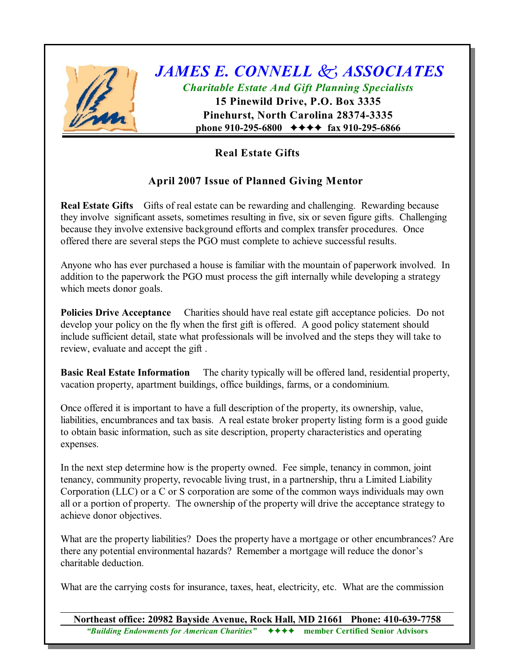

## *JAMES E. CONNELL k ASSOCIATES Charitable Estate And Gift Planning Specialists*

**15 Pinewild Drive, P.O. Box 3335 Pinehurst, North Carolina 28374-3335 phone 910-295-6800** ◆◆◆◆ fax 910-295-6866

## **Real Estate Gifts**

## **April 2007 Issue of Planned Giving Mentor**

**Real Estate Gifts** Gifts of real estate can be rewarding and challenging. Rewarding because they involve significant assets, sometimes resulting in five, six or seven figure gifts. Challenging because they involve extensive background efforts and complex transfer procedures. Once offered there are several steps the PGO must complete to achieve successful results.

Anyone who has ever purchased a house is familiar with the mountain of paperwork involved. In addition to the paperwork the PGO must process the gift internally while developing a strategy which meets donor goals.

**Policies Drive Acceptance** Charities should have real estate gift acceptance policies. Do not develop your policy on the fly when the first gift is offered. A good policy statement should include sufficient detail, state what professionals will be involved and the steps they will take to review, evaluate and accept the gift .

**Basic Real Estate Information** The charity typically will be offered land, residential property, vacation property, apartment buildings, office buildings, farms, or a condominium.

Once offered it is important to have a full description of the property, its ownership, value, liabilities, encumbrances and tax basis. A real estate broker property listing form is a good guide to obtain basic information, such as site description, property characteristics and operating expenses.

In the next step determine how is the property owned. Fee simple, tenancy in common, joint tenancy, community property, revocable living trust, in a partnership, thru a Limited Liability Corporation (LLC) or a C or S corporation are some of the common ways individuals may own all or a portion of property. The ownership of the property will drive the acceptance strategy to achieve donor objectives.

What are the property liabilities? Does the property have a mortgage or other encumbrances? Are there any potential environmental hazards? Remember a mortgage will reduce the donor's charitable deduction.

What are the carrying costs for insurance, taxes, heat, electricity, etc. What are the commission